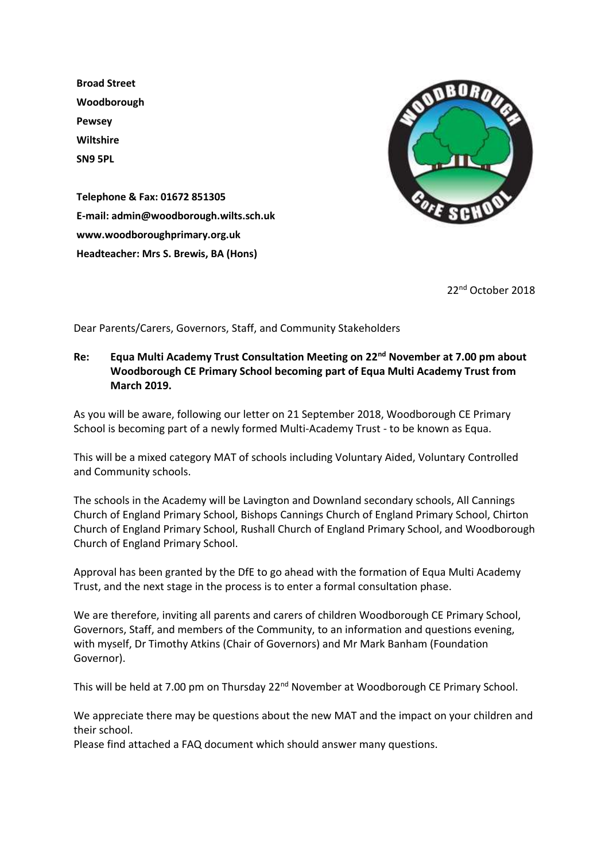**Broad Street Woodborough Pewsey Wiltshire SN9 5PL**



**Telephone & Fax: 01672 851305 E-mail: admin@woodborough.wilts.sch.uk www.woodboroughprimary.org.uk Headteacher: Mrs S. Brewis, BA (Hons)**

22nd October 2018

Dear Parents/Carers, Governors, Staff, and Community Stakeholders

## **Re: Equa Multi Academy Trust Consultation Meeting on 22nd November at 7.00 pm about Woodborough CE Primary School becoming part of Equa Multi Academy Trust from March 2019.**

As you will be aware, following our letter on 21 September 2018, Woodborough CE Primary School is becoming part of a newly formed Multi-Academy Trust - to be known as Equa.

This will be a mixed category MAT of schools including Voluntary Aided, Voluntary Controlled and Community schools.

The schools in the Academy will be Lavington and Downland secondary schools, All Cannings Church of England Primary School, Bishops Cannings Church of England Primary School, Chirton Church of England Primary School, Rushall Church of England Primary School, and Woodborough Church of England Primary School.

Approval has been granted by the DfE to go ahead with the formation of Equa Multi Academy Trust, and the next stage in the process is to enter a formal consultation phase.

We are therefore, inviting all parents and carers of children Woodborough CE Primary School, Governors, Staff, and members of the Community, to an information and questions evening, with myself, Dr Timothy Atkins (Chair of Governors) and Mr Mark Banham (Foundation Governor).

This will be held at 7.00 pm on Thursday 22<sup>nd</sup> November at Woodborough CE Primary School.

We appreciate there may be questions about the new MAT and the impact on your children and their school.

Please find attached a FAQ document which should answer many questions.